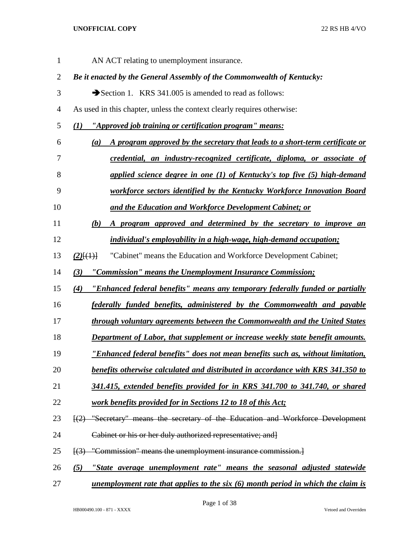| $\mathbf{1}$   | AN ACT relating to unemployment insurance.                                                           |
|----------------|------------------------------------------------------------------------------------------------------|
| $\overline{2}$ | Be it enacted by the General Assembly of the Commonwealth of Kentucky:                               |
| 3              | Section 1. KRS 341.005 is amended to read as follows:                                                |
| $\overline{4}$ | As used in this chapter, unless the context clearly requires otherwise:                              |
| 5              | (1) "Approved job training or certification program" means:                                          |
| 6              | A program approved by the secretary that leads to a short-term certificate or<br>(a)                 |
| 7              | credential, an industry-recognized certificate, diploma, or associate of                             |
| 8              | applied science degree in one (1) of Kentucky's top five (5) high-demand                             |
| 9              | workforce sectors identified by the Kentucky Workforce Innovation Board                              |
| 10             | and the Education and Workforce Development Cabinet; or                                              |
| 11             | A program approved and determined by the secretary to improve an<br>(b)                              |
| 12             | <i>individual's employability in a high-wage, high-demand occupation;</i>                            |
| 13             | "Cabinet" means the Education and Workforce Development Cabinet;<br>$(2)$ $(4)$                      |
| 14             | "Commission" means the Unemployment Insurance Commission;<br>(3)                                     |
| 15             | "Enhanced federal benefits" means any temporary federally funded or partially<br>(4)                 |
| 16             | federally funded benefits, administered by the Commonwealth and payable                              |
| 17             | through voluntary agreements between the Commonwealth and the United States                          |
| 18             | Department of Labor, that supplement or increase weekly state benefit amounts.                       |
| 19             | "Enhanced federal benefits" does not mean benefits such as, without limitation,                      |
| 20             | benefits otherwise calculated and distributed in accordance with KRS 341.350 to                      |
| 21             | 341.415, extended benefits provided for in KRS 341.700 to 341.740, or shared                         |
| 22             | work benefits provided for in Sections 12 to 18 of this Act;                                         |
| 23             | [(2) "Secretary" means the secretary of the Education and Workforce Development                      |
| 24             | Cabinet or his or her duly authorized representative; and {                                          |
| 25             | $\left[\frac{3}{3}\right]$ "Commission" means the unemployment insurance commission.                 |
| 26             | <u>"State average unemployment rate" means the seasonal adjusted statewide</u><br>(5)                |
| 27             | <u>unemployment rate that applies to the six <math>(6)</math> month period in which the claim is</u> |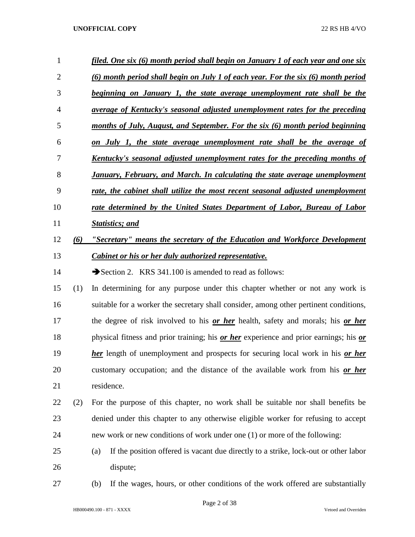| 1              |     | <u>filed. One six (6) month period shall begin on January 1 of each year and one six</u>            |
|----------------|-----|-----------------------------------------------------------------------------------------------------|
| $\overline{2}$ |     | (6) month period shall begin on July 1 of each year. For the six (6) month period                   |
| 3              |     | beginning on January 1, the state average unemployment rate shall be the                            |
| $\overline{4}$ |     | <u>average of Kentucky's seasonal adjusted unemployment rates for the preceding</u>                 |
| 5              |     | months of July, August, and September. For the six (6) month period beginning                       |
| 6              |     | on July 1, the state average unemployment rate shall be the average of                              |
| 7              |     | <u>Kentucky's seasonal adjusted unemployment rates for the preceding months of</u>                  |
| 8              |     | <b>January, February, and March. In calculating the state average unemployment</b>                  |
| 9              |     | rate, the cabinet shall utilize the most recent seasonal adjusted unemployment                      |
| 10             |     | rate determined by the United States Department of Labor, Bureau of Labor                           |
| 11             |     | <b>Statistics; and</b>                                                                              |
| 12             | (6) | "Secretary" means the secretary of the Education and Workforce Development                          |
| 13             |     | <b>Cabinet or his or her duly authorized representative.</b>                                        |
| 14             |     | Section 2. KRS 341.100 is amended to read as follows:                                               |
| 15             | (1) | In determining for any purpose under this chapter whether or not any work is                        |
| 16             |     | suitable for a worker the secretary shall consider, among other pertinent conditions,               |
| 17             |     | the degree of risk involved to his or her health, safety and morals; his or her                     |
| 18             |     | physical fitness and prior training; his <i>or her</i> experience and prior earnings; his <i>or</i> |
| 19             |     | <b>her</b> length of unemployment and prospects for securing local work in his <b>or her</b>        |
| 20             |     | customary occupation; and the distance of the available work from his or her                        |
| 21             |     | residence.                                                                                          |
| 22             | (2) | For the purpose of this chapter, no work shall be suitable nor shall benefits be                    |
| 23             |     | denied under this chapter to any otherwise eligible worker for refusing to accept                   |
| 24             |     | new work or new conditions of work under one (1) or more of the following:                          |
| 25             |     | If the position offered is vacant due directly to a strike, lock-out or other labor<br>(a)          |
| 26             |     | dispute;                                                                                            |
| 27             |     | If the wages, hours, or other conditions of the work offered are substantially<br>(b)               |

Page 2 of 38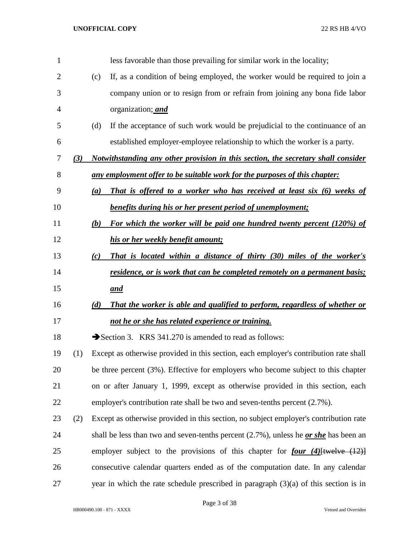| $\mathbf{1}$   |     |     | less favorable than those prevailing for similar work in the locality;                          |
|----------------|-----|-----|-------------------------------------------------------------------------------------------------|
| $\overline{2}$ |     | (c) | If, as a condition of being employed, the worker would be required to join a                    |
| 3              |     |     | company union or to resign from or refrain from joining any bona fide labor                     |
| 4              |     |     | organization; and                                                                               |
| 5              |     | (d) | If the acceptance of such work would be prejudicial to the continuance of an                    |
| 6              |     |     | established employer-employee relationship to which the worker is a party.                      |
| 7              | (3) |     | Notwithstanding any other provision in this section, the secretary shall consider               |
| 8              |     |     | <u>any employment offer to be suitable work for the purposes of this chapter:</u>               |
| 9              |     | (a) | That is offered to a worker who has received at least six (6) weeks of                          |
| 10             |     |     | benefits during his or her present period of unemployment;                                      |
| 11             |     | (b) | For which the worker will be paid one hundred twenty percent (120%) of                          |
| 12             |     |     | his or her weekly benefit amount;                                                               |
| 13             |     | (c) | That is located within a distance of thirty (30) miles of the worker's                          |
| 14             |     |     | residence, or is work that can be completed remotely on a permanent basis;                      |
| 15             |     |     | and                                                                                             |
| 16             |     | (d) | That the worker is able and qualified to perform, regardless of whether or                      |
| 17             |     |     | not he or she has related experience or training.                                               |
| 18             |     |     | Section 3. KRS 341.270 is amended to read as follows:                                           |
| 19             | (1) |     | Except as otherwise provided in this section, each employer's contribution rate shall           |
| 20             |     |     | be three percent (3%). Effective for employers who become subject to this chapter               |
| 21             |     |     | on or after January 1, 1999, except as otherwise provided in this section, each                 |
| 22             |     |     | employer's contribution rate shall be two and seven-tenths percent (2.7%).                      |
| 23             | (2) |     | Except as otherwise provided in this section, no subject employer's contribution rate           |
| 24             |     |     | shall be less than two and seven-tenths percent $(2.7\%)$ , unless he <i>or she</i> has been an |
| 25             |     |     | employer subject to the provisions of this chapter for <b>four</b> (4) [twelve $(12)$ ]         |
| 26             |     |     | consecutive calendar quarters ended as of the computation date. In any calendar                 |
| 27             |     |     | year in which the rate schedule prescribed in paragraph $(3)(a)$ of this section is in          |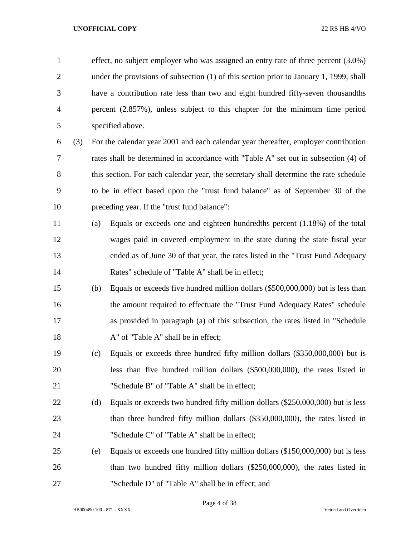effect, no subject employer who was assigned an entry rate of three percent (3.0%) 2 under the provisions of subsection (1) of this section prior to January 1, 1999, shall have a contribution rate less than two and eight hundred fifty-seven thousandths percent (2.857%), unless subject to this chapter for the minimum time period specified above.

- (3) For the calendar year 2001 and each calendar year thereafter, employer contribution rates shall be determined in accordance with "Table A" set out in subsection (4) of 8 this section. For each calendar year, the secretary shall determine the rate schedule to be in effect based upon the "trust fund balance" as of September 30 of the preceding year. If the "trust fund balance":
- (a) Equals or exceeds one and eighteen hundredths percent (1.18%) of the total wages paid in covered employment in the state during the state fiscal year ended as of June 30 of that year, the rates listed in the "Trust Fund Adequacy Rates" schedule of "Table A" shall be in effect;
- (b) Equals or exceeds five hundred million dollars (\$500,000,000) but is less than the amount required to effectuate the "Trust Fund Adequacy Rates" schedule as provided in paragraph (a) of this subsection, the rates listed in "Schedule 18 A" of "Table A" shall be in effect;
- (c) Equals or exceeds three hundred fifty million dollars (\$350,000,000) but is less than five hundred million dollars (\$500,000,000), the rates listed in "Schedule B" of "Table A" shall be in effect;
- 22 (d) Equals or exceeds two hundred fifty million dollars (\$250,000,000) but is less than three hundred fifty million dollars (\$350,000,000), the rates listed in "Schedule C" of "Table A" shall be in effect;
- (e) Equals or exceeds one hundred fifty million dollars (\$150,000,000) but is less than two hundred fifty million dollars (\$250,000,000), the rates listed in "Schedule D" of "Table A" shall be in effect; and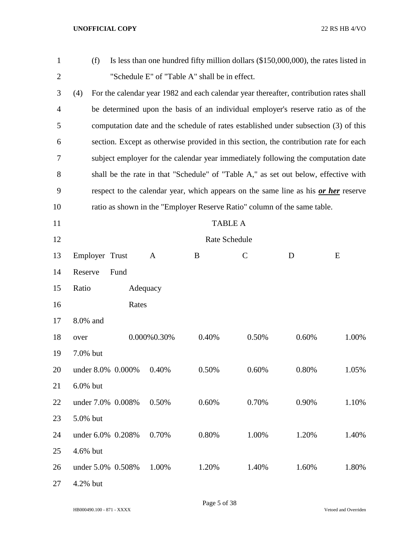| $\mathbf{1}$   | (f)               |             | Is less than one hundred fifty million dollars $(\$150,000,000)$ , the rates listed in |             |       |       |
|----------------|-------------------|-------------|----------------------------------------------------------------------------------------|-------------|-------|-------|
| $\overline{c}$ |                   |             | "Schedule E" of "Table A" shall be in effect.                                          |             |       |       |
| 3              | (4)               |             | For the calendar year 1982 and each calendar year thereafter, contribution rates shall |             |       |       |
| 4              |                   |             | be determined upon the basis of an individual employer's reserve ratio as of the       |             |       |       |
| 5              |                   |             | computation date and the schedule of rates established under subsection (3) of this    |             |       |       |
| 6              |                   |             | section. Except as otherwise provided in this section, the contribution rate for each  |             |       |       |
| 7              |                   |             | subject employer for the calendar year immediately following the computation date      |             |       |       |
| 8              |                   |             | shall be the rate in that "Schedule" of "Table A," as set out below, effective with    |             |       |       |
| 9              |                   |             | respect to the calendar year, which appears on the same line as his or her reserve     |             |       |       |
| 10             |                   |             | ratio as shown in the "Employer Reserve Ratio" column of the same table.               |             |       |       |
| 11             |                   |             | <b>TABLE A</b>                                                                         |             |       |       |
| 12             |                   |             | Rate Schedule                                                                          |             |       |       |
| 13             | Employer Trust    | A           | B                                                                                      | $\mathbf C$ | D     | E     |
| 14             | Reserve<br>Fund   |             |                                                                                        |             |       |       |
| 15             | Ratio             | Adequacy    |                                                                                        |             |       |       |
| 16             |                   | Rates       |                                                                                        |             |       |       |
| 17             | 8.0% and          |             |                                                                                        |             |       |       |
| 18             | over              | 0.000%0.30% | 0.40%                                                                                  | 0.50%       | 0.60% | 1.00% |
| 19             | 7.0% but          |             |                                                                                        |             |       |       |
| 20             | under 8.0% 0.000% | 0.40%       | 0.50%                                                                                  | 0.60%       | 0.80% | 1.05% |
| 21             | 6.0% but          |             |                                                                                        |             |       |       |
| 22             | under 7.0% 0.008% | 0.50%       | 0.60%                                                                                  | 0.70%       | 0.90% | 1.10% |
| 23             | 5.0% but          |             |                                                                                        |             |       |       |
| 24             | under 6.0% 0.208% | 0.70%       | 0.80%                                                                                  | 1.00%       | 1.20% | 1.40% |
| 25             | 4.6% but          |             |                                                                                        |             |       |       |
| 26             | under 5.0% 0.508% | 1.00%       | 1.20%                                                                                  | 1.40%       | 1.60% | 1.80% |
| 27             | 4.2% but          |             |                                                                                        |             |       |       |

Page 5 of 38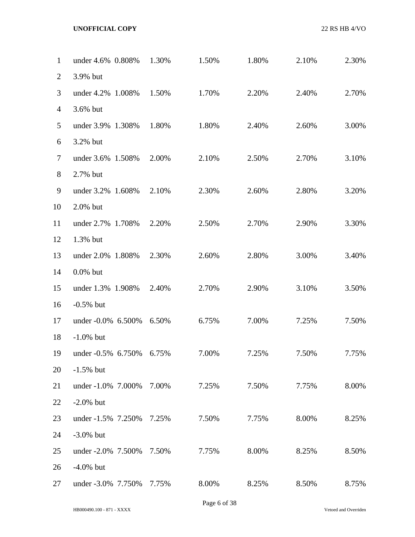| 1              | under 4.6% 0.808%  | 1.30% | 1.50% | 1.80% | 2.10% | 2.30% |
|----------------|--------------------|-------|-------|-------|-------|-------|
| $\overline{2}$ | 3.9% but           |       |       |       |       |       |
| 3              | under 4.2% 1.008%  | 1.50% | 1.70% | 2.20% | 2.40% | 2.70% |
| $\overline{4}$ | 3.6% but           |       |       |       |       |       |
| 5              | under 3.9% 1.308%  | 1.80% | 1.80% | 2.40% | 2.60% | 3.00% |
| 6              | 3.2% but           |       |       |       |       |       |
| $\tau$         | under 3.6% 1.508%  | 2.00% | 2.10% | 2.50% | 2.70% | 3.10% |
| $8\,$          | 2.7% but           |       |       |       |       |       |
| 9              | under 3.2% 1.608%  | 2.10% | 2.30% | 2.60% | 2.80% | 3.20% |
| 10             | 2.0% but           |       |       |       |       |       |
| 11             | under 2.7% 1.708%  | 2.20% | 2.50% | 2.70% | 2.90% | 3.30% |
| 12             | 1.3% but           |       |       |       |       |       |
| 13             | under 2.0% 1.808%  | 2.30% | 2.60% | 2.80% | 3.00% | 3.40% |
| 14             | $0.0\%$ but        |       |       |       |       |       |
| 15             | under 1.3% 1.908%  | 2.40% | 2.70% | 2.90% | 3.10% | 3.50% |
| 16             | $-0.5%$ but        |       |       |       |       |       |
| 17             | under -0.0% 6.500% | 6.50% | 6.75% | 7.00% | 7.25% | 7.50% |
| 18             | $-1.0\%$ but       |       |       |       |       |       |
| 19             | under -0.5% 6.750% | 6.75% | 7.00% | 7.25% | 7.50% | 7.75% |
| 20             | $-1.5%$ but        |       |       |       |       |       |
| 21             | under -1.0% 7.000% | 7.00% | 7.25% | 7.50% | 7.75% | 8.00% |
| 22             | $-2.0\%$ but       |       |       |       |       |       |
| 23             | under -1.5% 7.250% | 7.25% | 7.50% | 7.75% | 8.00% | 8.25% |
| 24             | $-3.0\%$ but       |       |       |       |       |       |
| 25             | under -2.0% 7.500% | 7.50% | 7.75% | 8.00% | 8.25% | 8.50% |
| 26             | $-4.0\%$ but       |       |       |       |       |       |
| 27             | under -3.0% 7.750% | 7.75% | 8.00% | 8.25% | 8.50% | 8.75% |
|                |                    |       |       |       |       |       |

Page 6 of 38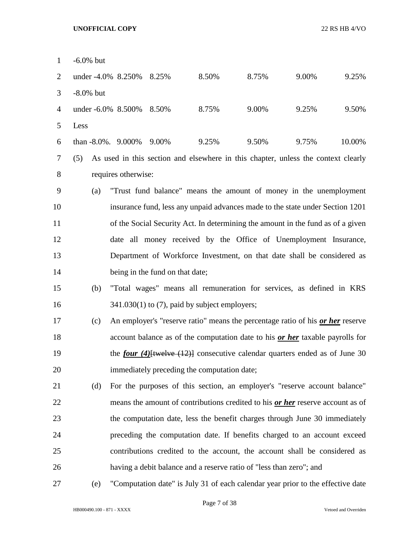| $\mathbf{1}$   | $-6.0\%$ but |                     |                                 |                                                                                        |       |       |        |
|----------------|--------------|---------------------|---------------------------------|----------------------------------------------------------------------------------------|-------|-------|--------|
| $\overline{2}$ |              | under -4.0% 8.250%  | 8.25%                           | 8.50%                                                                                  | 8.75% | 9.00% | 9.25%  |
| 3              | $-8.0\%$ but |                     |                                 |                                                                                        |       |       |        |
| $\overline{4}$ |              | under -6.0% 8.500%  | 8.50%                           | 8.75%                                                                                  | 9.00% | 9.25% | 9.50%  |
| 5              | Less         |                     |                                 |                                                                                        |       |       |        |
| 6              |              | than -8.0%. 9.000%  | 9.00%                           | 9.25%                                                                                  | 9.50% | 9.75% | 10.00% |
| 7              | (5)          |                     |                                 | As used in this section and elsewhere in this chapter, unless the context clearly      |       |       |        |
| 8              |              | requires otherwise: |                                 |                                                                                        |       |       |        |
| 9              | (a)          |                     |                                 | "Trust fund balance" means the amount of money in the unemployment                     |       |       |        |
| 10             |              |                     |                                 | insurance fund, less any unpaid advances made to the state under Section 1201          |       |       |        |
| 11             |              |                     |                                 | of the Social Security Act. In determining the amount in the fund as of a given        |       |       |        |
| 12             |              |                     |                                 | date all money received by the Office of Unemployment Insurance,                       |       |       |        |
| 13             |              |                     |                                 | Department of Workforce Investment, on that date shall be considered as                |       |       |        |
| 14             |              |                     | being in the fund on that date; |                                                                                        |       |       |        |
| 15             | (b)          |                     |                                 | "Total wages" means all remuneration for services, as defined in KRS                   |       |       |        |
| 16             |              |                     |                                 | $341.030(1)$ to (7), paid by subject employers;                                        |       |       |        |
| 17             | (c)          |                     |                                 | An employer's "reserve ratio" means the percentage ratio of his or her reserve         |       |       |        |
| 18             |              |                     |                                 | account balance as of the computation date to his or her taxable payrolls for          |       |       |        |
| 19             |              |                     |                                 | the <i>four</i> (4) [twelve $(12)$ ] consecutive calendar quarters ended as of June 30 |       |       |        |
| 20             |              |                     |                                 | immediately preceding the computation date;                                            |       |       |        |
| 21             | (d)          |                     |                                 | For the purposes of this section, an employer's "reserve account balance"              |       |       |        |
| 22             |              |                     |                                 | means the amount of contributions credited to his or her reserve account as of         |       |       |        |
| 23             |              |                     |                                 | the computation date, less the benefit charges through June 30 immediately             |       |       |        |
| 24             |              |                     |                                 | preceding the computation date. If benefits charged to an account exceed               |       |       |        |
| 25             |              |                     |                                 | contributions credited to the account, the account shall be considered as              |       |       |        |
| 26             |              |                     |                                 | having a debit balance and a reserve ratio of "less than zero"; and                    |       |       |        |
| 27             | (e)          |                     |                                 | "Computation date" is July 31 of each calendar year prior to the effective date        |       |       |        |

HB000490.100 - 871 - XXXX Vetoed and Overriden

Page 7 of 38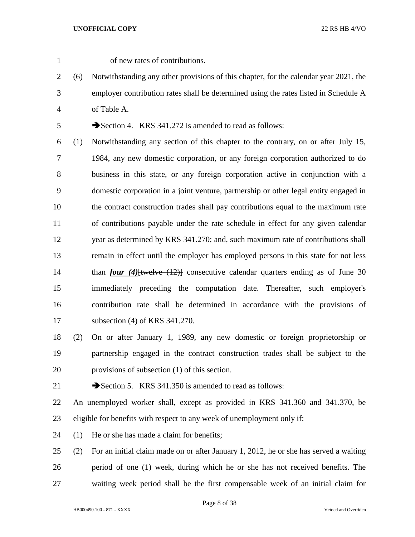- of new rates of contributions.
- (6) Notwithstanding any other provisions of this chapter, for the calendar year 2021, the employer contribution rates shall be determined using the rates listed in Schedule A of Table A.

5 Section 4. KRS 341.272 is amended to read as follows:

 (1) Notwithstanding any section of this chapter to the contrary, on or after July 15, 1984, any new domestic corporation, or any foreign corporation authorized to do business in this state, or any foreign corporation active in conjunction with a domestic corporation in a joint venture, partnership or other legal entity engaged in the contract construction trades shall pay contributions equal to the maximum rate of contributions payable under the rate schedule in effect for any given calendar year as determined by KRS 341.270; and, such maximum rate of contributions shall remain in effect until the employer has employed persons in this state for not less than *four (4)*[twelve (12)] consecutive calendar quarters ending as of June 30 immediately preceding the computation date. Thereafter, such employer's contribution rate shall be determined in accordance with the provisions of subsection (4) of KRS 341.270.

- (2) On or after January 1, 1989, any new domestic or foreign proprietorship or partnership engaged in the contract construction trades shall be subject to the provisions of subsection (1) of this section.
- 

21 Section 5. KRS 341.350 is amended to read as follows:

 An unemployed worker shall, except as provided in KRS 341.360 and 341.370, be eligible for benefits with respect to any week of unemployment only if:

- (1) He or she has made a claim for benefits;
- (2) For an initial claim made on or after January 1, 2012, he or she has served a waiting period of one (1) week, during which he or she has not received benefits. The waiting week period shall be the first compensable week of an initial claim for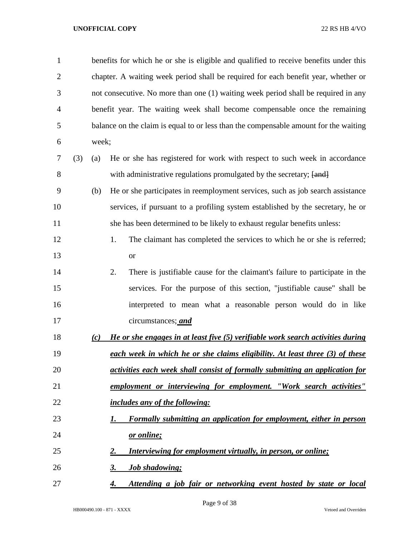| $\mathbf{1}$   |     |       | benefits for which he or she is eligible and qualified to receive benefits under this |
|----------------|-----|-------|---------------------------------------------------------------------------------------|
| $\overline{2}$ |     |       | chapter. A waiting week period shall be required for each benefit year, whether or    |
| 3              |     |       | not consecutive. No more than one (1) waiting week period shall be required in any    |
| 4              |     |       | benefit year. The waiting week shall become compensable once the remaining            |
| 5              |     |       | balance on the claim is equal to or less than the compensable amount for the waiting  |
| 6              |     | week; |                                                                                       |
| 7              | (3) | (a)   | He or she has registered for work with respect to such week in accordance             |
| 8              |     |       | with administrative regulations promulgated by the secretary; [and]                   |
| 9              |     | (b)   | He or she participates in reemployment services, such as job search assistance        |
| 10             |     |       | services, if pursuant to a profiling system established by the secretary, he or       |
| 11             |     |       | she has been determined to be likely to exhaust regular benefits unless:              |
| 12             |     |       | 1.<br>The claimant has completed the services to which he or she is referred;         |
| 13             |     |       | <b>or</b>                                                                             |
| 14             |     |       | 2.<br>There is justifiable cause for the claimant's failure to participate in the     |
| 15             |     |       | services. For the purpose of this section, "justifiable cause" shall be               |
| 16             |     |       | interpreted to mean what a reasonable person would do in like                         |
| 17             |     |       | circumstances; and                                                                    |
| 18             |     | (c)   | He or she engages in at least five (5) verifiable work search activities during       |
| 19             |     |       | each week in which he or she claims eligibility. At least three (3) of these          |
| 20             |     |       | activities each week shall consist of formally submitting an application for          |
| 21             |     |       | employment or interviewing for employment. "Work search activities"                   |
| 22             |     |       | <i>includes any of the following:</i>                                                 |
| 23             |     |       | Formally submitting an application for employment, either in person<br>1.             |
| 24             |     |       | <u>or online;</u>                                                                     |
| 25             |     |       | <b>Interviewing for employment virtually, in person, or online;</b><br><u>2.</u>      |
| 26             |     |       | 3.<br><u><b>Job shadowing;</b></u>                                                    |
| 27             |     |       | Attending a job fair or networking event hosted by state or local<br>4.               |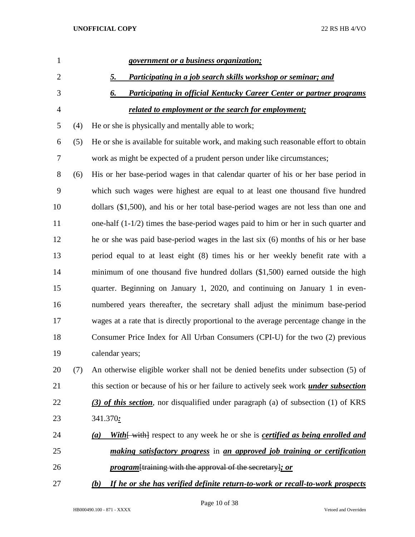| $\mathbf{1}$   |     | government or a business organization;                                                                     |
|----------------|-----|------------------------------------------------------------------------------------------------------------|
| $\overline{2}$ |     | Participating in a job search skills workshop or seminar; and<br><u>5.</u>                                 |
| 3              |     | 6.<br><b>Participating in official Kentucky Career Center or partner programs</b>                          |
| $\overline{4}$ |     | <u>related to employment or the search for employment;</u>                                                 |
| 5              | (4) | He or she is physically and mentally able to work;                                                         |
| 6              | (5) | He or she is available for suitable work, and making such reasonable effort to obtain                      |
| $\tau$         |     | work as might be expected of a prudent person under like circumstances;                                    |
| $8\,$          | (6) | His or her base-period wages in that calendar quarter of his or her base period in                         |
| 9              |     | which such wages were highest are equal to at least one thousand five hundred                              |
| 10             |     | dollars (\$1,500), and his or her total base-period wages are not less than one and                        |
| 11             |     | one-half $(1-1/2)$ times the base-period wages paid to him or her in such quarter and                      |
| 12             |     | he or she was paid base-period wages in the last six (6) months of his or her base                         |
| 13             |     | period equal to at least eight (8) times his or her weekly benefit rate with a                             |
| 14             |     | minimum of one thousand five hundred dollars (\$1,500) earned outside the high                             |
| 15             |     | quarter. Beginning on January 1, 2020, and continuing on January 1 in even-                                |
| 16             |     | numbered years thereafter, the secretary shall adjust the minimum base-period                              |
| 17             |     | wages at a rate that is directly proportional to the average percentage change in the                      |
| 18             |     | Consumer Price Index for All Urban Consumers (CPI-U) for the two (2) previous                              |
| 19             |     | calendar years;                                                                                            |
| 20             | (7) | An otherwise eligible worker shall not be denied benefits under subsection (5) of                          |
| 21             |     | this section or because of his or her failure to actively seek work <i>under subsection</i>                |
| 22             |     | (3) of this section, nor disqualified under paragraph (a) of subsection (1) of KRS                         |
| 23             |     | 341.370:                                                                                                   |
| 24             |     | <b>With</b> { with } respect to any week he or she is <b><i>certified as being enrolled and</i></b><br>(a) |
| 25             |     | <i>making satisfactory progress</i> in <i>an approved job training or certification</i>                    |
| 26             |     | <i>program</i> [training with the approval of the secretary]; or                                           |
| 27             |     | If he or she has verified definite return-to-work or recall-to-work prospects<br>(b)                       |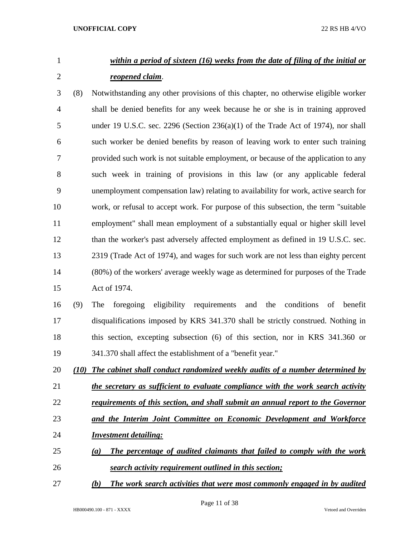# *within a period of sixteen (16) weeks from the date of filing of the initial or reopened claim*.

 (8) Notwithstanding any other provisions of this chapter, no otherwise eligible worker shall be denied benefits for any week because he or she is in training approved under 19 U.S.C. sec. 2296 (Section 236(a)(1) of the Trade Act of 1974), nor shall such worker be denied benefits by reason of leaving work to enter such training provided such work is not suitable employment, or because of the application to any such week in training of provisions in this law (or any applicable federal unemployment compensation law) relating to availability for work, active search for work, or refusal to accept work. For purpose of this subsection, the term "suitable employment" shall mean employment of a substantially equal or higher skill level 12 than the worker's past adversely affected employment as defined in 19 U.S.C. sec. 2319 (Trade Act of 1974), and wages for such work are not less than eighty percent (80%) of the workers' average weekly wage as determined for purposes of the Trade Act of 1974.

 (9) The foregoing eligibility requirements and the conditions of benefit disqualifications imposed by KRS 341.370 shall be strictly construed. Nothing in this section, excepting subsection (6) of this section, nor in KRS 341.360 or 341.370 shall affect the establishment of a "benefit year."

*(10) The cabinet shall conduct randomized weekly audits of a number determined by* 

*the secretary as sufficient to evaluate compliance with the work search activity* 

- *requirements of this section, and shall submit an annual report to the Governor*
- *and the Interim Joint Committee on Economic Development and Workforce*
- *Investment detailing:*
- *(a) The percentage of audited claimants that failed to comply with the work search activity requirement outlined in this section;*
- *(b) The work search activities that were most commonly engaged in by audited*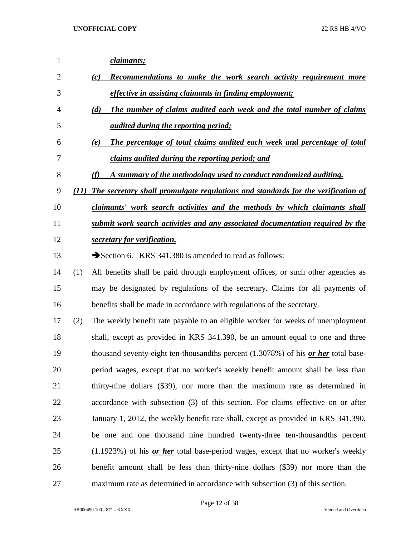| 1              |      | claimants;                                                                                  |
|----------------|------|---------------------------------------------------------------------------------------------|
| $\overline{2}$ |      | Recommendations to make the work search activity requirement more<br>(c)                    |
| 3              |      | <i>effective in assisting claimants in finding employment;</i>                              |
| 4              |      | The number of claims audited each week and the total number of claims<br>(d)                |
| 5              |      | <i>audited during the reporting period;</i>                                                 |
| 6              |      | The percentage of total claims audited each week and percentage of total<br>(e)             |
| 7              |      | claims audited during the reporting period; and                                             |
| 8              |      | A summary of the methodology used to conduct randomized auditing.                           |
| 9              | (11) | The secretary shall promulgate regulations and standards for the verification of            |
| 10             |      | claimants' work search activities and the methods by which claimants shall                  |
| 11             |      | submit work search activities and any associated documentation required by the              |
| 12             |      | secretary for verification.                                                                 |
| 13             |      | Section 6. KRS 341.380 is amended to read as follows:                                       |
| 14             | (1)  | All benefits shall be paid through employment offices, or such other agencies as            |
| 15             |      | may be designated by regulations of the secretary. Claims for all payments of               |
| 16             |      | benefits shall be made in accordance with regulations of the secretary.                     |
| 17             | (2)  | The weekly benefit rate payable to an eligible worker for weeks of unemployment             |
| 18             |      | shall, except as provided in KRS 341.390, be an amount equal to one and three               |
| 19             |      | thousand seventy-eight ten-thousandths percent $(1.3078%)$ of his <i>or her</i> total base- |
| 20             |      | period wages, except that no worker's weekly benefit amount shall be less than              |
| 21             |      | thirty-nine dollars (\$39), nor more than the maximum rate as determined in                 |
| 22             |      | accordance with subsection (3) of this section. For claims effective on or after            |
| 23             |      | January 1, 2012, the weekly benefit rate shall, except as provided in KRS 341.390,          |
| 24             |      | be one and one thousand nine hundred twenty-three ten-thousandths percent                   |
| 25             |      | $(1.1923%)$ of his <i>or her</i> total base-period wages, except that no worker's weekly    |
| 26             |      | benefit amount shall be less than thirty-nine dollars (\$39) nor more than the              |
| 27             |      | maximum rate as determined in accordance with subsection (3) of this section.               |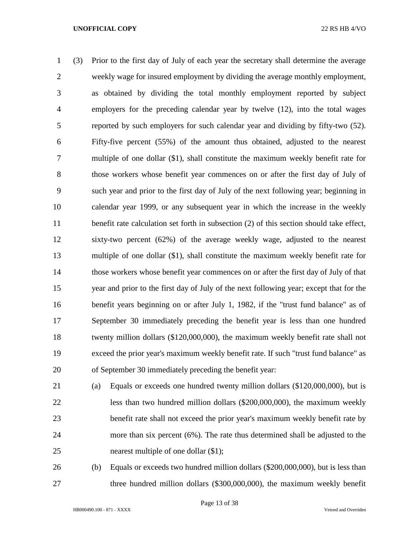(3) Prior to the first day of July of each year the secretary shall determine the average weekly wage for insured employment by dividing the average monthly employment, as obtained by dividing the total monthly employment reported by subject employers for the preceding calendar year by twelve (12), into the total wages reported by such employers for such calendar year and dividing by fifty-two (52). Fifty-five percent (55%) of the amount thus obtained, adjusted to the nearest multiple of one dollar (\$1), shall constitute the maximum weekly benefit rate for those workers whose benefit year commences on or after the first day of July of such year and prior to the first day of July of the next following year; beginning in calendar year 1999, or any subsequent year in which the increase in the weekly 11 benefit rate calculation set forth in subsection (2) of this section should take effect, sixty-two percent (62%) of the average weekly wage, adjusted to the nearest multiple of one dollar (\$1), shall constitute the maximum weekly benefit rate for those workers whose benefit year commences on or after the first day of July of that year and prior to the first day of July of the next following year; except that for the benefit years beginning on or after July 1, 1982, if the "trust fund balance" as of September 30 immediately preceding the benefit year is less than one hundred twenty million dollars (\$120,000,000), the maximum weekly benefit rate shall not exceed the prior year's maximum weekly benefit rate. If such "trust fund balance" as of September 30 immediately preceding the benefit year:

- (a) Equals or exceeds one hundred twenty million dollars (\$120,000,000), but is less than two hundred million dollars (\$200,000,000), the maximum weekly benefit rate shall not exceed the prior year's maximum weekly benefit rate by more than six percent (6%). The rate thus determined shall be adjusted to the 25 nearest multiple of one dollar  $(\$1);$
- (b) Equals or exceeds two hundred million dollars (\$200,000,000), but is less than three hundred million dollars (\$300,000,000), the maximum weekly benefit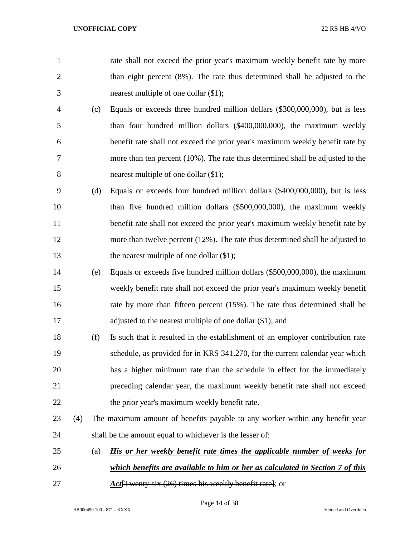- rate shall not exceed the prior year's maximum weekly benefit rate by more than eight percent (8%). The rate thus determined shall be adjusted to the nearest multiple of one dollar (\$1);
- (c) Equals or exceeds three hundred million dollars (\$300,000,000), but is less than four hundred million dollars (\$400,000,000), the maximum weekly benefit rate shall not exceed the prior year's maximum weekly benefit rate by more than ten percent (10%). The rate thus determined shall be adjusted to the nearest multiple of one dollar (\$1);
- (d) Equals or exceeds four hundred million dollars (\$400,000,000), but is less than five hundred million dollars (\$500,000,000), the maximum weekly 11 benefit rate shall not exceed the prior year's maximum weekly benefit rate by more than twelve percent (12%). The rate thus determined shall be adjusted to 13 the nearest multiple of one dollar  $(\$1)$ ;
- (e) Equals or exceeds five hundred million dollars (\$500,000,000), the maximum weekly benefit rate shall not exceed the prior year's maximum weekly benefit rate by more than fifteen percent (15%). The rate thus determined shall be 17 adjusted to the nearest multiple of one dollar (\$1); and
- (f) Is such that it resulted in the establishment of an employer contribution rate schedule, as provided for in KRS 341.270, for the current calendar year which has a higher minimum rate than the schedule in effect for the immediately preceding calendar year, the maximum weekly benefit rate shall not exceed 22 the prior year's maximum weekly benefit rate.
- (4) The maximum amount of benefits payable to any worker within any benefit year shall be the amount equal to whichever is the lesser of:
- (a) *His or her weekly benefit rate times the applicable number of weeks for which benefits are available to him or her as calculated in Section 7 of this*
- *Act*[Twenty-six (26) times his weekly benefit rate]; or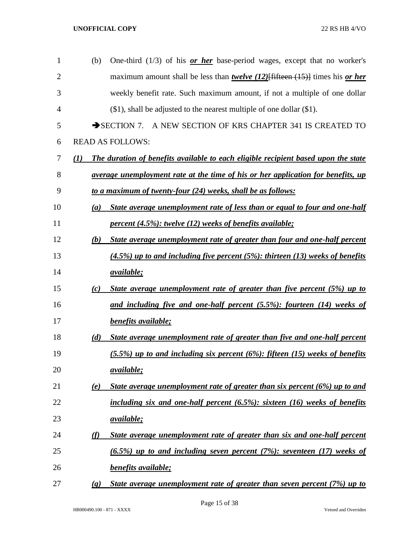| $\mathbf{1}$   | (b)                         | One-third $(1/3)$ of his <b>or her</b> base-period wages, except that no worker's              |
|----------------|-----------------------------|------------------------------------------------------------------------------------------------|
| $\overline{2}$ |                             | maximum amount shall be less than <i>twelve</i> (12) [fifteen $(15)$ ] times his <i>or her</i> |
| 3              |                             | weekly benefit rate. Such maximum amount, if not a multiple of one dollar                      |
| 4              |                             | $(\$1)$ , shall be adjusted to the nearest multiple of one dollar $(\$1)$ .                    |
| 5              |                             | $\rightarrow$ SECTION 7.<br>A NEW SECTION OF KRS CHAPTER 341 IS CREATED TO                     |
| 6              |                             | <b>READ AS FOLLOWS:</b>                                                                        |
| 7              | (1)                         | The duration of benefits available to each eligible recipient based upon the state             |
| 8              |                             | <u>average unemployment rate at the time of his or her application for benefits, up</u>        |
| 9              |                             | to a maximum of twenty-four (24) weeks, shall be as follows:                                   |
| 10             | (a)                         | State average unemployment rate of less than or equal to four and one-half                     |
| 11             |                             | <i>percent (4.5%): twelve (12) weeks of benefits available;</i>                                |
| 12             | (b)                         | State average unemployment rate of greater than four and one-half percent                      |
| 13             |                             | $(4.5\%)$ up to and including five percent (5%): thirteen (13) weeks of benefits               |
| 14             |                             | <i>available</i> ;                                                                             |
| 15             | (c)                         | State average unemployment rate of greater than five percent (5%) up to                        |
| 16             |                             | and including five and one-half percent (5.5%): fourteen (14) weeks of                         |
| 17             |                             | benefits available;                                                                            |
| 18             | (d)                         | State average unemployment rate of greater than five and one-half percent                      |
| 19             |                             | $(5.5%)$ up to and including six percent $(6%)$ : fifteen (15) weeks of benefits               |
| 20             |                             | <u>available;</u>                                                                              |
| 21             | (e)                         | State average unemployment rate of greater than six percent (6%) up to and                     |
| 22             |                             | including six and one-half percent $(6.5\%)$ : sixteen $(16)$ weeks of benefits                |
| 23             |                             | <u>available;</u>                                                                              |
| 24             | (f)                         | State average unemployment rate of greater than six and one-half percent                       |
| 25             |                             | $(6.5\%)$ up to and including seven percent $(7\%)$ : seventeen $(17)$ weeks of                |
| 26             |                             | <b>benefits available;</b>                                                                     |
| 27             | $\left( \mathbf{g} \right)$ | State average unemployment rate of greater than seven percent $(7%)$ up to                     |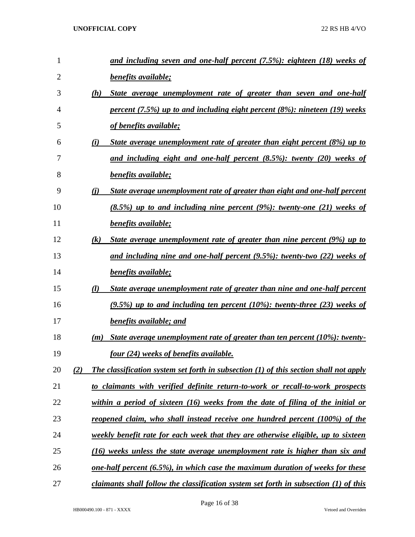| $\mathbf{1}$   |     | and including seven and one-half percent (7.5%): eighteen (18) weeks of                      |
|----------------|-----|----------------------------------------------------------------------------------------------|
| $\overline{2}$ |     | benefits available;                                                                          |
| 3              | (h) | State average unemployment rate of greater than seven and one-half                           |
| 4              |     | percent $(7.5%)$ up to and including eight percent $(8%)$ : nineteen $(19)$ weeks            |
| 5              |     | of benefits available;                                                                       |
| 6              | (i) | State average unemployment rate of greater than eight percent (8%) up to                     |
| 7              |     | and including eight and one-half percent $(8.5\%)$ : twenty $(20)$ weeks of                  |
| 8              |     | benefits available;                                                                          |
| 9              | (i) | <u>State average unemployment rate of greater than eight and one-half percent</u>            |
| 10             |     | $(8.5\%)$ up to and including nine percent (9%): twenty-one (21) weeks of                    |
| 11             |     | benefits available;                                                                          |
| 12             | (k) | State average unemployment rate of greater than nine percent (9%) up to                      |
| 13             |     | and including nine and one-half percent $(9.5\%)$ : twenty-two $(22)$ weeks of               |
| 14             |     | benefits available;                                                                          |
| 15             | (l) | State average unemployment rate of greater than nine and one-half percent                    |
| 16             |     | $(9.5\%)$ up to and including ten percent (10%): twenty-three (23) weeks of                  |
| 17             |     | <b>benefits available; and</b>                                                               |
| 18             | (m) | State average unemployment rate of greater than ten percent (10%): twenty-                   |
| 19             |     | <u>four (24) weeks of benefits available.</u>                                                |
| 20             | (2) | <b>The classification system set forth in subsection (1) of this section shall not apply</b> |
| 21             |     | to claimants with verified definite return-to-work or recall-to-work prospects               |
| 22             |     | within a period of sixteen $(16)$ weeks from the date of filing of the initial or            |
| 23             |     | reopened claim, who shall instead receive one hundred percent (100%) of the                  |
| 24             |     | <u>weekly benefit rate for each week that they are otherwise eligible, up to sixteen</u>     |
| 25             |     | (16) weeks unless the state average unemployment rate is higher than six and                 |
| 26             |     | <u>one-half percent (6.5%), in which case the maximum duration of weeks for these</u>        |
| 27             |     | claimants shall follow the classification system set forth in subsection (1) of this         |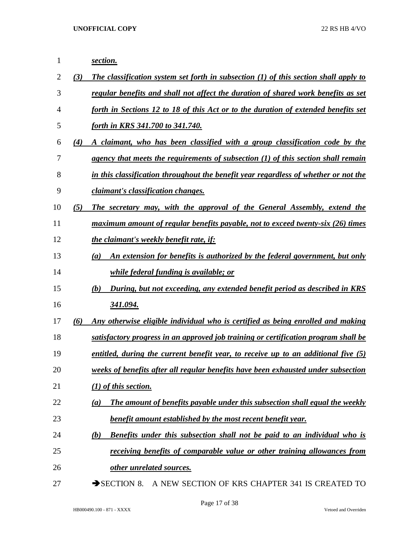*section. (3) The classification system set forth in subsection (1) of this section shall apply to regular benefits and shall not affect the duration of shared work benefits as set forth in Sections 12 to 18 of this Act or to the duration of extended benefits set forth in KRS 341.700 to 341.740. (4) A claimant, who has been classified with a group classification code by the agency that meets the requirements of subsection (1) of this section shall remain in this classification throughout the benefit year regardless of whether or not the claimant's classification changes. (5) The secretary may, with the approval of the General Assembly, extend the maximum amount of regular benefits payable, not to exceed twenty-six (26) times the claimant's weekly benefit rate, if: (a) An extension for benefits is authorized by the federal government, but only while federal funding is available; or (b) During, but not exceeding, any extended benefit period as described in KRS 341.094. (6) Any otherwise eligible individual who is certified as being enrolled and making satisfactory progress in an approved job training or certification program shall be entitled, during the current benefit year, to receive up to an additional five (5) weeks of benefits after all regular benefits have been exhausted under subsection (1) of this section. (a) The amount of benefits payable under this subsection shall equal the weekly benefit amount established by the most recent benefit year. (b) Benefits under this subsection shall not be paid to an individual who is receiving benefits of comparable value or other training allowances from other unrelated sources.* 27 SECTION 8. A NEW SECTION OF KRS CHAPTER 341 IS CREATED TO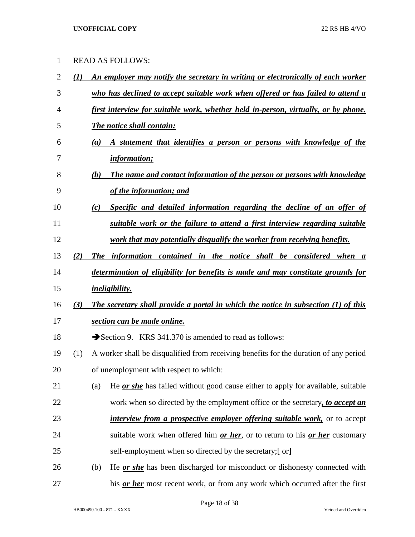# READ AS FOLLOWS:

| $\overline{2}$ | (I) | An employer may notify the secretary in writing or electronically of each worker              |
|----------------|-----|-----------------------------------------------------------------------------------------------|
| 3              |     | who has declined to accept suitable work when offered or has failed to attend a               |
| 4              |     | first interview for suitable work, whether held in-person, virtually, or by phone.            |
| 5              |     | The notice shall contain:                                                                     |
| 6              |     | A statement that identifies a person or persons with knowledge of the<br>(a)                  |
| 7              |     | <i>information;</i>                                                                           |
| 8              |     | The name and contact information of the person or persons with knowledge<br>(b)               |
| 9              |     | of the information; and                                                                       |
| 10             |     | Specific and detailed information regarding the decline of an offer of<br>(c)                 |
| 11             |     | suitable work or the failure to attend a first interview regarding suitable                   |
| 12             |     | work that may potentially disqualify the worker from receiving benefits.                      |
| 13             | (2) | The information contained in the notice shall be considered when a                            |
| 14             |     | determination of eligibility for benefits is made and may constitute grounds for              |
| 15             |     | <i>ineligibility.</i>                                                                         |
| 16             | (3) | The secretary shall provide a portal in which the notice in subsection (1) of this            |
| 17             |     | section can be made online.                                                                   |
| 18             |     | Section 9. KRS 341.370 is amended to read as follows:                                         |
| 19             | (1) | A worker shall be disqualified from receiving benefits for the duration of any period         |
| 20             |     | of unemployment with respect to which:                                                        |
| 21             |     | He <u>or she</u> has failed without good cause either to apply for available, suitable<br>(a) |
| 22             |     | work when so directed by the employment office or the secretary, to accept an                 |
| 23             |     | <i>interview from a prospective employer offering suitable work</i> , or to accept            |
| 24             |     | suitable work when offered him or her, or to return to his or her customary                   |
| 25             |     | self-employment when so directed by the secretary; [-or]                                      |
| 26             |     | He <u>or she</u> has been discharged for misconduct or dishonesty connected with<br>(b)       |
| 27             |     | his or her most recent work, or from any work which occurred after the first                  |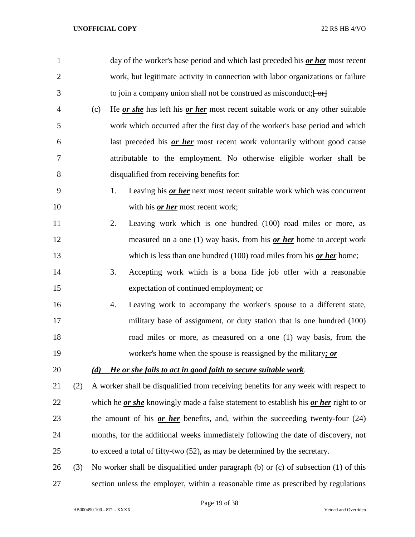| $\mathbf{1}$   |     |     |    | day of the worker's base period and which last preceded his or her most recent                     |
|----------------|-----|-----|----|----------------------------------------------------------------------------------------------------|
| $\overline{2}$ |     |     |    | work, but legitimate activity in connection with labor organizations or failure                    |
| 3              |     |     |    | to join a company union shall not be construed as misconduct; $\left\{\theta r\right\}$            |
| 4              |     | (c) |    | He <u>or she</u> has left his or her most recent suitable work or any other suitable               |
| 5              |     |     |    | work which occurred after the first day of the worker's base period and which                      |
| 6              |     |     |    | last preceded his or her most recent work voluntarily without good cause                           |
| 7              |     |     |    | attributable to the employment. No otherwise eligible worker shall be                              |
| 8              |     |     |    | disqualified from receiving benefits for:                                                          |
| 9              |     |     | 1. | Leaving his <i>or her</i> next most recent suitable work which was concurrent                      |
| 10             |     |     |    | with his <i>or her</i> most recent work;                                                           |
| 11             |     |     | 2. | Leaving work which is one hundred (100) road miles or more, as                                     |
| 12             |     |     |    | measured on a one $(1)$ way basis, from his <i>or her</i> home to accept work                      |
| 13             |     |     |    | which is less than one hundred $(100)$ road miles from his <i>or her</i> home;                     |
| 14             |     |     | 3. | Accepting work which is a bona fide job offer with a reasonable                                    |
| 15             |     |     |    | expectation of continued employment; or                                                            |
| 16             |     |     | 4. | Leaving work to accompany the worker's spouse to a different state,                                |
| 17             |     |     |    | military base of assignment, or duty station that is one hundred (100)                             |
| 18             |     |     |    | road miles or more, as measured on a one (1) way basis, from the                                   |
| 19             |     |     |    | worker's home when the spouse is reassigned by the military; or                                    |
| 20             |     | (d) |    | He or she fails to act in good faith to secure suitable work.                                      |
| 21             | (2) |     |    | A worker shall be disqualified from receiving benefits for any week with respect to                |
| 22             |     |     |    | which he <i>or she</i> knowingly made a false statement to establish his <i>or her</i> right to or |
| 23             |     |     |    | the amount of his or her benefits, and, within the succeeding twenty-four $(24)$                   |
| 24             |     |     |    | months, for the additional weeks immediately following the date of discovery, not                  |
| 25             |     |     |    | to exceed a total of fifty-two (52), as may be determined by the secretary.                        |
| 26             | (3) |     |    | No worker shall be disqualified under paragraph (b) or (c) of subsection (1) of this               |
| 27             |     |     |    | section unless the employer, within a reasonable time as prescribed by regulations                 |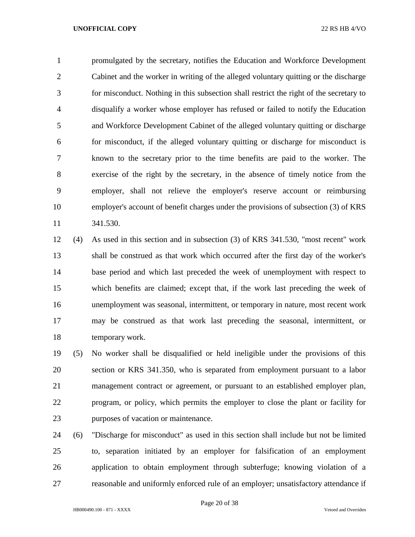promulgated by the secretary, notifies the Education and Workforce Development Cabinet and the worker in writing of the alleged voluntary quitting or the discharge for misconduct. Nothing in this subsection shall restrict the right of the secretary to disqualify a worker whose employer has refused or failed to notify the Education and Workforce Development Cabinet of the alleged voluntary quitting or discharge for misconduct, if the alleged voluntary quitting or discharge for misconduct is known to the secretary prior to the time benefits are paid to the worker. The exercise of the right by the secretary, in the absence of timely notice from the employer, shall not relieve the employer's reserve account or reimbursing employer's account of benefit charges under the provisions of subsection (3) of KRS 341.530.

 (4) As used in this section and in subsection (3) of KRS 341.530, "most recent" work shall be construed as that work which occurred after the first day of the worker's base period and which last preceded the week of unemployment with respect to which benefits are claimed; except that, if the work last preceding the week of unemployment was seasonal, intermittent, or temporary in nature, most recent work may be construed as that work last preceding the seasonal, intermittent, or temporary work.

 (5) No worker shall be disqualified or held ineligible under the provisions of this section or KRS 341.350, who is separated from employment pursuant to a labor management contract or agreement, or pursuant to an established employer plan, program, or policy, which permits the employer to close the plant or facility for purposes of vacation or maintenance.

 (6) "Discharge for misconduct" as used in this section shall include but not be limited to, separation initiated by an employer for falsification of an employment application to obtain employment through subterfuge; knowing violation of a reasonable and uniformly enforced rule of an employer; unsatisfactory attendance if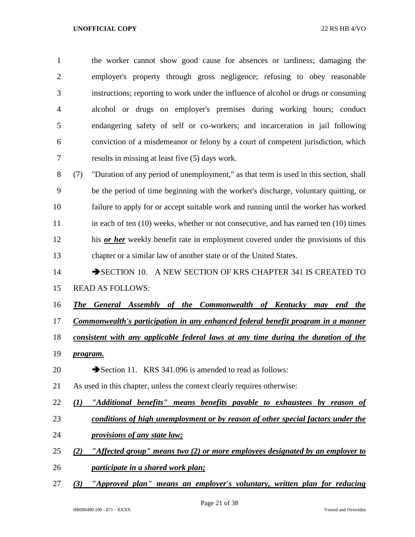the worker cannot show good cause for absences or tardiness; damaging the employer's property through gross negligence; refusing to obey reasonable instructions; reporting to work under the influence of alcohol or drugs or consuming alcohol or drugs on employer's premises during working hours; conduct endangering safety of self or co-workers; and incarceration in jail following conviction of a misdemeanor or felony by a court of competent jurisdiction, which results in missing at least five (5) days work.

 (7) "Duration of any period of unemployment," as that term is used in this section, shall be the period of time beginning with the worker's discharge, voluntary quitting, or failure to apply for or accept suitable work and running until the worker has worked 11 in each of ten (10) weeks, whether or not consecutive, and has earned ten (10) times his *or her* weekly benefit rate in employment covered under the provisions of this chapter or a similar law of another state or of the United States.

## 14 SECTION 10. A NEW SECTION OF KRS CHAPTER 341 IS CREATED TO

- READ AS FOLLOWS:
- *The General Assembly of the Commonwealth of Kentucky may end the*
- *Commonwealth's participation in any enhanced federal benefit program in a manner*
- *consistent with any applicable federal laws at any time during the duration of the*
- *program.*
- 20 Section 11. KRS 341.096 is amended to read as follows:
- As used in this chapter, unless the context clearly requires otherwise:
- *(1) "Additional benefits" means benefits payable to exhaustees by reason of*
- *conditions of high unemployment or by reason of other special factors under the*
- *provisions of any state law;*
- *(2) "Affected group" means two (2) or more employees designated by an employer to*
- *participate in a shared work plan;*
- *(3) "Approved plan" means an employer's voluntary, written plan for reducing*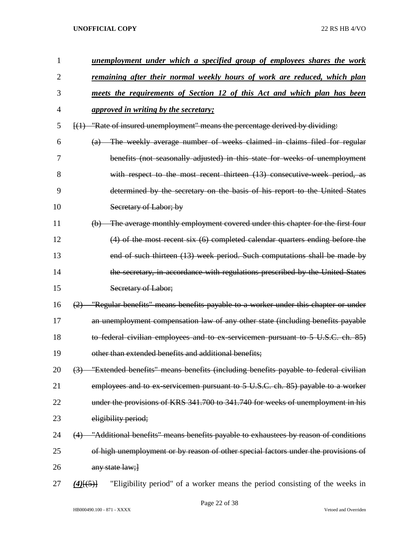| 1  | unemployment under which a specified group of employees shares the work                         |
|----|-------------------------------------------------------------------------------------------------|
| 2  | <u>remaining after their normal weekly hours of work are reduced, which plan</u>                |
| 3  | meets the requirements of Section 12 of this Act and which plan has been                        |
| 4  | <i>approved in writing by the secretary;</i>                                                    |
| 5  | [(1) "Rate of insured unemployment" means the percentage derived by dividing:                   |
| 6  | The weekly average number of weeks claimed in claims filed for regular<br>$\left( a\right)$     |
| 7  | benefits (not seasonally adjusted) in this state for weeks of unemployment                      |
| 8  | with respect to the most recent thirteen (13) consecutive week period, as                       |
| 9  | determined by the secretary on the basis of his report to the United States                     |
| 10 | Secretary of Labor; by                                                                          |
| 11 | The average monthly employment covered under this chapter for the first four<br>(b)             |
| 12 | (4) of the most recent six (6) completed calendar quarters ending before the                    |
| 13 | end of such thirteen (13) week period. Such computations shall be made by                       |
| 14 | the secretary, in accordance with regulations prescribed by the United States                   |
| 15 | Secretary of Labor;                                                                             |
| 16 | "Regular benefits" means benefits payable to a worker under this chapter or under<br>(2)        |
| 17 | an unemployment compensation law of any other state (including benefits payable                 |
| 18 | to federal civilian employees and to ex-servicemen pursuant to 5 U.S.C. ch. 85)                 |
| 19 | other than extended benefits and additional benefits:                                           |
| 20 | (3) "Extended benefits" means benefits (including benefits payable to federal civilian          |
| 21 | employees and to ex-servicemen pursuant to 5 U.S.C. ch. 85) payable to a worker                 |
| 22 | under the provisions of KRS 341.700 to 341.740 for weeks of unemployment in his                 |
| 23 | eligibility period;                                                                             |
| 24 | "Additional benefits" means benefits payable to exhaustees by reason of conditions<br>(4)       |
| 25 | of high unemployment or by reason of other special factors under the provisions of              |
| 26 | any state law; }                                                                                |
| 27 | "Eligibility period" of a worker means the period consisting of the weeks in<br>$(4)$ [ $(5)$ ] |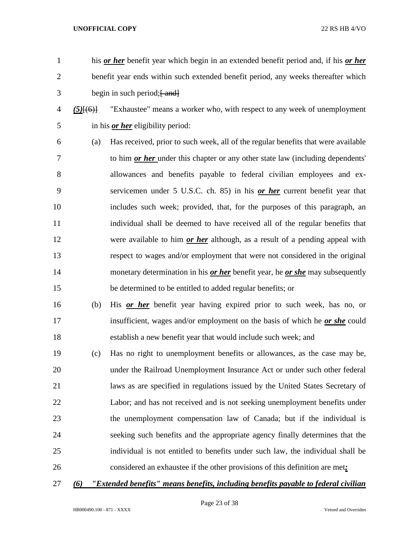- his *or her* benefit year which begin in an extended benefit period and, if his *or her*  benefit year ends within such extended benefit period, any weeks thereafter which
- $3 \qquad \qquad \text{begin in such period;} \text{4} \text{ and}$
- *(5)*[(6)] "Exhaustee" means a worker who, with respect to any week of unemployment in his *or her* eligibility period:
- (a) Has received, prior to such week, all of the regular benefits that were available to him *or her* under this chapter or any other state law (including dependents' allowances and benefits payable to federal civilian employees and ex- servicemen under 5 U.S.C. ch. 85) in his *or her* current benefit year that includes such week; provided, that, for the purposes of this paragraph, an individual shall be deemed to have received all of the regular benefits that were available to him *or her* although, as a result of a pending appeal with respect to wages and/or employment that were not considered in the original monetary determination in his *or her* benefit year, he *or she* may subsequently be determined to be entitled to added regular benefits; or
- (b) His *or her* benefit year having expired prior to such week, has no, or insufficient, wages and/or employment on the basis of which he *or she* could establish a new benefit year that would include such week; and
- (c) Has no right to unemployment benefits or allowances, as the case may be, under the Railroad Unemployment Insurance Act or under such other federal laws as are specified in regulations issued by the United States Secretary of Labor; and has not received and is not seeking unemployment benefits under the unemployment compensation law of Canada; but if the individual is seeking such benefits and the appropriate agency finally determines that the individual is not entitled to benefits under such law, the individual shall be considered an exhaustee if the other provisions of this definition are met*;*
- 
- *(6) "Extended benefits" means benefits, including benefits payable to federal civilian*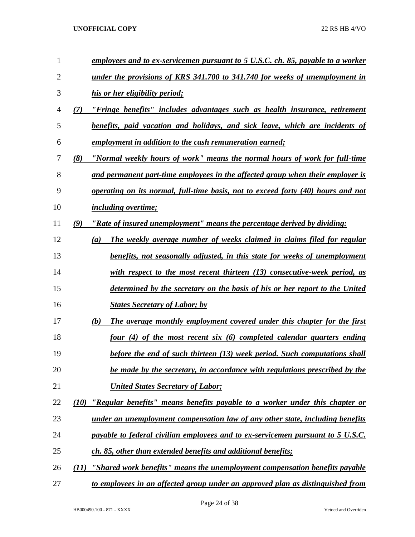| 1              |      | employees and to ex-servicemen pursuant to 5 U.S.C. ch. 85, payable to a worker         |
|----------------|------|-----------------------------------------------------------------------------------------|
| $\overline{2}$ |      | under the provisions of KRS 341.700 to 341.740 for weeks of unemployment in             |
| 3              |      | his or her eligibility period;                                                          |
| 4              | (7)  | "Fringe benefits" includes advantages such as health insurance, retirement              |
| 5              |      | benefits, paid vacation and holidays, and sick leave, which are incidents of            |
| 6              |      | employment in addition to the cash remuneration earned;                                 |
| 7              | (8)  | "Normal weekly hours of work" means the normal hours of work for full-time              |
| 8              |      | and permanent part-time employees in the affected group when their employer is          |
| 9              |      | <i>operating on its normal, full-time basis, not to exceed forty (40) hours and not</i> |
| 10             |      | <i>including overtime;</i>                                                              |
| 11             | (9)  | "Rate of insured unemployment" means the percentage derived by dividing:                |
| 12             |      | The weekly average number of weeks claimed in claims filed for regular<br>(a)           |
| 13             |      | benefits, not seasonally adjusted, in this state for weeks of unemployment              |
| 14             |      | with respect to the most recent thirteen $(13)$ consecutive-week period, as             |
| 15             |      | determined by the secretary on the basis of his or her report to the United             |
| 16             |      | <b>States Secretary of Labor; by</b>                                                    |
| 17             |      | (b)<br>The average monthly employment covered under this chapter for the first          |
| 18             |      | four (4) of the most recent six (6) completed calendar quarters ending                  |
| 19             |      | before the end of such thirteen (13) week period. Such computations shall               |
| 20             |      | be made by the secretary, in accordance with regulations prescribed by the              |
| 21             |      | <b>United States Secretary of Labor;</b>                                                |
| 22             | (10) | "Regular benefits" means benefits payable to a worker under this chapter or             |
| 23             |      | under an unemployment compensation law of any other state, including benefits           |
| 24             |      | payable to federal civilian employees and to ex-servicemen pursuant to 5 U.S.C.         |
| 25             |      | ch. 85, other than extended benefits and additional benefits;                           |
| 26             | (11) | <u>"Shared work benefits" means the unemployment compensation benefits payable</u>      |
| 27             |      | to employees in an affected group under an approved plan as distinguished from          |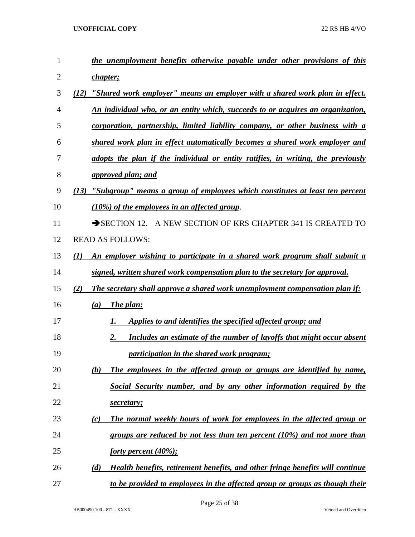| 1              | the unemployment benefits otherwise payable under other provisions of this           |
|----------------|--------------------------------------------------------------------------------------|
| $\overline{2}$ | chapter;                                                                             |
| 3              | "Shared work employer" means an employer with a shared work plan in effect.<br>(12)  |
| 4              | An individual who, or an entity which, succeeds to or acquires an organization,      |
| 5              | corporation, partnership, limited liability company, or other business with a        |
| 6              | shared work plan in effect automatically becomes a shared work employer and          |
| 7              | adopts the plan if the individual or entity ratifies, in writing, the previously     |
| 8              | <i>approved plan; and</i>                                                            |
| 9              | "Subgroup" means a group of employees which constitutes at least ten percent<br>(13) |
| 10             | $(10\%)$ of the employees in an affected group.                                      |
| 11             | SECTION 12. A NEW SECTION OF KRS CHAPTER 341 IS CREATED TO                           |
| 12             | <b>READ AS FOLLOWS:</b>                                                              |
| 13             | An employer wishing to participate in a shared work program shall submit a<br>(I)    |
| 14             | signed, written shared work compensation plan to the secretary for approval.         |
| 15             | (2)<br>The secretary shall approve a shared work unemployment compensation plan if:  |
| 16             | The plan:<br>(a)                                                                     |
| 17             | Applies to and identifies the specified affected group; and<br>1.                    |
| 18             | <b>Includes an estimate of the number of layoffs that might occur absent</b><br>2.   |
| 19             | <i>participation in the shared work program;</i>                                     |
| 20             | The employees in the affected group or groups are identified by name,<br>(b)         |
| 21             | Social Security number, and by any other information required by the                 |
| 22             | secretary;                                                                           |
| 23             | The normal weekly hours of work for employees in the affected group or<br>(c)        |
| 24             | groups are reduced by not less than ten percent $(10\%)$ and not more than           |
| 25             | forty percent (40%);                                                                 |
| 26             | Health benefits, retirement benefits, and other fringe benefits will continue<br>(d) |
| 27             | to be provided to employees in the affected group or groups as though their          |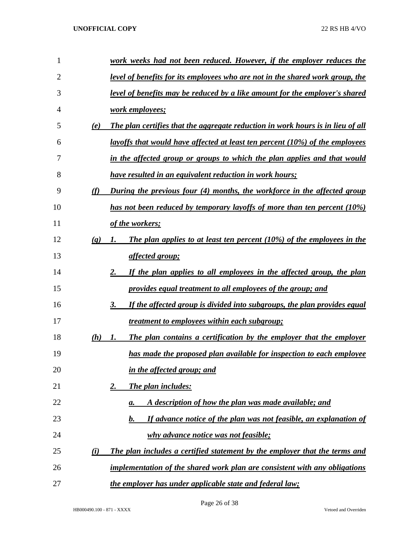| 1  |                             | work weeks had not been reduced. However, if the employer reduces the               |
|----|-----------------------------|-------------------------------------------------------------------------------------|
| 2  |                             | level of benefits for its employees who are not in the shared work group, the       |
| 3  |                             | <u>level of benefits may be reduced by a like amount for the employer's shared</u>  |
| 4  |                             | work employees;                                                                     |
| 5  | (e)                         | The plan certifies that the aggregate reduction in work hours is in lieu of all     |
| 6  |                             | <u>layoffs that would have affected at least ten percent (10%) of the employees</u> |
| 7  |                             | in the affected group or groups to which the plan applies and that would            |
| 8  |                             | <u>have resulted in an equivalent reduction in work hours;</u>                      |
| 9  | (f)                         | During the previous four (4) months, the workforce in the affected group            |
| 10 |                             | has not been reduced by temporary layoffs of more than ten percent (10%)            |
| 11 |                             | of the workers;                                                                     |
| 12 | $\left( \mathbf{g} \right)$ | The plan applies to at least ten percent $(10\%)$ of the employees in the<br>1.     |
| 13 |                             | affected group;                                                                     |
| 14 |                             | If the plan applies to all employees in the affected group, the plan<br>2.          |
| 15 |                             | provides equal treatment to all employees of the group; and                         |
| 16 |                             | If the affected group is divided into subgroups, the plan provides equal<br>3.      |
| 17 |                             | <u>treatment to employees within each subgroup;</u>                                 |
| 18 | (h)                         | The plan contains a certification by the employer that the employer<br>1.           |
| 19 |                             | has made the proposed plan available for inspection to each employee                |
| 20 |                             | in the affected group; and                                                          |
| 21 |                             | The plan includes:<br><u>2.</u>                                                     |
| 22 |                             | A description of how the plan was made available; and<br>а.                         |
| 23 |                             | If advance notice of the plan was not feasible, an explanation of<br><u>b.</u>      |
| 24 |                             | why advance notice was not feasible;                                                |
| 25 | (i)                         | The plan includes a certified statement by the employer that the terms and          |
| 26 |                             | implementation of the shared work plan are consistent with any obligations          |
| 27 |                             | the employer has under applicable state and federal law;                            |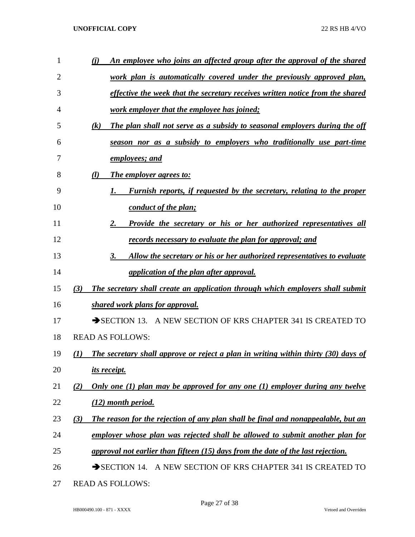| 1  | <u>An employee who joins an affected group after the approval of the shared</u><br>(i)          |
|----|-------------------------------------------------------------------------------------------------|
| 2  | <u>work plan is automatically covered under the previously approved plan,</u>                   |
| 3  | effective the week that the secretary receives written notice from the shared                   |
| 4  | work employer that the employee has joined;                                                     |
| 5  | The plan shall not serve as a subsidy to seasonal employers during the off<br>$\left( k\right)$ |
| 6  | season nor as a subsidy to employers who traditionally use part-time                            |
| 7  | employees; and                                                                                  |
| 8  | <b>The employer agrees to:</b><br>$\left( l\right)$                                             |
| 9  | <b>Furnish reports, if requested by the secretary, relating to the proper</b><br>I.             |
| 10 | conduct of the plan;                                                                            |
| 11 | Provide the secretary or his or her authorized representatives all<br>2.                        |
| 12 | records necessary to evaluate the plan for approval; and                                        |
| 13 | Allow the secretary or his or her authorized representatives to evaluate<br>3.                  |
| 14 | application of the plan after approval.                                                         |
| 15 | The secretary shall create an application through which employers shall submit<br>(3)           |
| 16 | shared work plans for approval.                                                                 |
| 17 | SECTION 13. A NEW SECTION OF KRS CHAPTER 341 IS CREATED TO                                      |
| 18 | <b>READ AS FOLLOWS:</b>                                                                         |
| 19 | The secretary shall approve or reject a plan in writing within thirty (30) days of<br>(1)       |
| 20 | its receipt.                                                                                    |
| 21 | Only one $(1)$ plan may be approved for any one $(1)$ employer during any twelve<br>(2)         |
| 22 | (12) month period.                                                                              |
| 23 | The reason for the rejection of any plan shall be final and nonappealable, but an<br>(3)        |
| 24 | employer whose plan was rejected shall be allowed to submit another plan for                    |
| 25 | approval not earlier than fifteen (15) days from the date of the last rejection.                |
| 26 | $\rightarrow$ SECTION 14.<br>A NEW SECTION OF KRS CHAPTER 341 IS CREATED TO                     |
| 27 | <b>READ AS FOLLOWS:</b>                                                                         |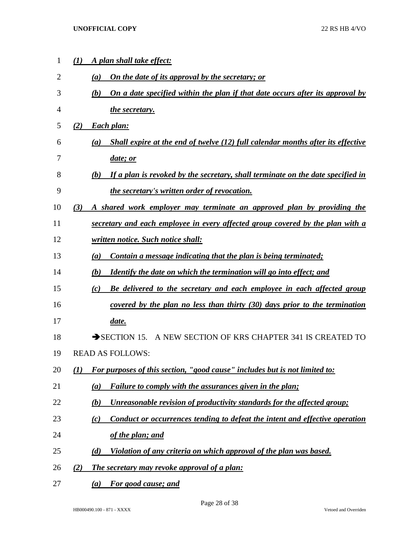| 1              | (I)              | A plan shall take effect:                                                                   |
|----------------|------------------|---------------------------------------------------------------------------------------------|
| $\overline{2}$ |                  | On the date of its approval by the secretary; or<br>(a)                                     |
| 3              |                  | <u>On a date specified within the plan if that date occurs after its approval by</u><br>(b) |
| $\overline{4}$ |                  | the secretary.                                                                              |
| 5              | (2)              | Each plan:                                                                                  |
| 6              |                  | Shall expire at the end of twelve $(12)$ full calendar months after its effective<br>(a)    |
| 7              |                  | <i>date; or</i>                                                                             |
| 8              |                  | If a plan is revoked by the secretary, shall terminate on the date specified in<br>(b)      |
| 9              |                  | <i>the secretary's written order of revocation.</i>                                         |
| 10             | (3)              | A shared work employer may terminate an approved plan by providing the                      |
| 11             |                  | secretary and each employee in every affected group covered by the plan with a              |
| 12             |                  | written notice. Such notice shall:                                                          |
| 13             |                  | Contain a message indicating that the plan is being terminated;<br>(a)                      |
| 14             |                  | <i>Identify the date on which the termination will go into effect; and</i><br>(b)           |
| 15             |                  | Be delivered to the secretary and each employee in each affected group<br>(c)               |
| 16             |                  | covered by the plan no less than thirty $(30)$ days prior to the termination                |
| 17             |                  | date.                                                                                       |
| 18             |                  | $\rightarrow$ SECTION 15.<br>A NEW SECTION OF KRS CHAPTER 341 IS CREATED TO                 |
| 19             |                  | <b>READ AS FOLLOWS:</b>                                                                     |
| 20             | $\mathcal{L}(I)$ | For purposes of this section, "good cause" includes but is not limited to:                  |
| 21             |                  | Failure to comply with the assurances given in the plan;<br>$\left( a\right)$               |
| 22             |                  | Unreasonable revision of productivity standards for the affected group;<br>(b)              |
| 23             |                  | Conduct or occurrences tending to defeat the intent and effective operation<br>(c)          |
| 24             |                  | of the plan; and                                                                            |
| 25             |                  | Violation of any criteria on which approval of the plan was based.<br>(d)                   |
| 26             | (2)              | The secretary may revoke approval of a plan:                                                |
| 27             |                  | For good cause; and<br>(a)                                                                  |

HB000490.100 - 871 - XXXX Vetoed and Overriden

Page 28 of 38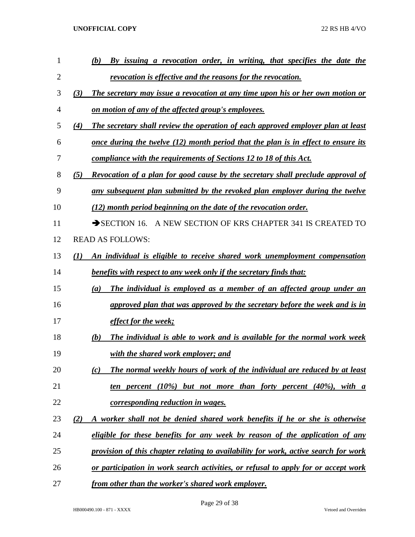| 1  | By issuing a revocation order, in writing, that specifies the date the<br>(b)                 |
|----|-----------------------------------------------------------------------------------------------|
| 2  | revocation is effective and the reasons for the revocation.                                   |
| 3  | The secretary may issue a revocation at any time upon his or her own motion or<br>(3)         |
| 4  | on motion of any of the affected group's employees.                                           |
| 5  | The secretary shall review the operation of each approved employer plan at least<br>(4)       |
| 6  | <u>once during the twelve (12) month period that the plan is in effect to ensure its</u>      |
| 7  | compliance with the requirements of Sections 12 to 18 of this Act.                            |
| 8  | <b>Revocation of a plan for good cause by the secretary shall preclude approval of</b><br>(5) |
| 9  | any subsequent plan submitted by the revoked plan employer during the twelve                  |
| 10 | (12) month period beginning on the date of the revocation order.                              |
| 11 | SECTION 16. A NEW SECTION OF KRS CHAPTER 341 IS CREATED TO                                    |
| 12 | <b>READ AS FOLLOWS:</b>                                                                       |
| 13 | An individual is eligible to receive shared work unemployment compensation<br>(1)             |
| 14 | <b>benefits with respect to any week only if the secretary finds that:</b>                    |
| 15 | The individual is employed as a member of an affected group under an<br>(a)                   |
| 16 | approved plan that was approved by the secretary before the week and is in                    |
| 17 | effect for the week;                                                                          |
| 18 | The individual is able to work and is available for the normal work week<br>(b)               |
| 19 | with the shared work employer; and                                                            |
| 20 | The normal weekly hours of work of the individual are reduced by at least<br>(c)              |
| 21 | ten percent $(10\%)$ but not more than forty percent $(40\%)$ , with a                        |
| 22 | corresponding reduction in wages.                                                             |
| 23 | A worker shall not be denied shared work benefits if he or she is otherwise<br>(2)            |
| 24 | eligible for these benefits for any week by reason of the application of any                  |
| 25 | provision of this chapter relating to availability for work, active search for work           |
| 26 | or participation in work search activities, or refusal to apply for or accept work            |
| 27 | from other than the worker's shared work employer.                                            |

Page 29 of 38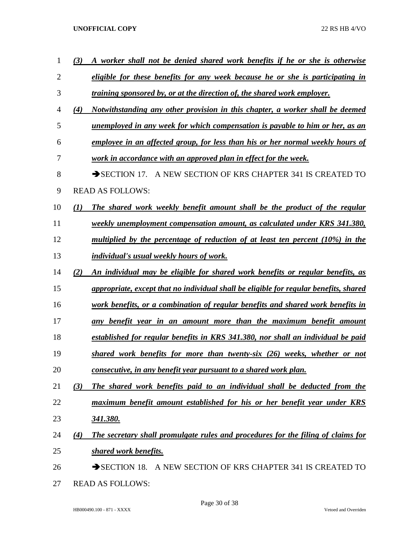| 1              | (3)               | A worker shall not be denied shared work benefits if he or she is otherwise           |
|----------------|-------------------|---------------------------------------------------------------------------------------|
| $\overline{2}$ |                   | eligible for these benefits for any week because he or she is participating in        |
| 3              |                   | <i>training sponsored by, or at the direction of, the shared work employer.</i>       |
| 4              | (4)               | Notwithstanding any other provision in this chapter, a worker shall be deemed         |
| 5              |                   | <u>unemployed in any week for which compensation is payable to him or her, as an</u>  |
| 6              |                   | employee in an affected group, for less than his or her normal weekly hours of        |
| 7              |                   | work in accordance with an approved plan in effect for the week.                      |
| 8              |                   | A NEW SECTION OF KRS CHAPTER 341 IS CREATED TO<br>$\rightarrow$ SECTION 17.           |
| 9              |                   | <b>READ AS FOLLOWS:</b>                                                               |
| 10             | $\mathcal{L}(I)$  | The shared work weekly benefit amount shall be the product of the regular             |
| 11             |                   | weekly unemployment compensation amount, as calculated under KRS 341.380,             |
| 12             |                   | multiplied by the percentage of reduction of at least ten percent $(10\%)$ in the     |
| 13             |                   | <i>individual's usual weekly hours of work.</i>                                       |
| 14             | (2)               | An individual may be eligible for shared work benefits or regular benefits, as        |
| 15             |                   | appropriate, except that no individual shall be eligible for regular benefits, shared |
| 16             |                   | work benefits, or a combination of regular benefits and shared work benefits in       |
| 17             |                   | any benefit year in an amount more than the maximum benefit amount                    |
| 18             |                   | established for regular benefits in KRS 341.380, nor shall an individual be paid      |
| 19             |                   | shared work benefits for more than twenty-six (26) weeks, whether or not              |
| 20             |                   | consecutive, in any benefit year pursuant to a shared work plan.                      |
| 21             | (3)               | The shared work benefits paid to an individual shall be deducted from the             |
| 22             |                   | maximum benefit amount established for his or her benefit year under KRS              |
| 23             |                   | <u>341.380.</u>                                                                       |
| 24             | $\left( 4\right)$ | The secretary shall promulgate rules and procedures for the filing of claims for      |
| 25             |                   | <b>shared work benefits.</b>                                                          |
| 26             |                   | SECTION 18. A NEW SECTION OF KRS CHAPTER 341 IS CREATED TO                            |
|                |                   |                                                                                       |

READ AS FOLLOWS: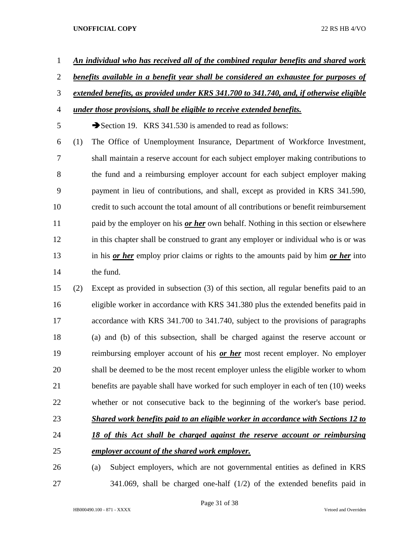- *An individual who has received all of the combined regular benefits and shared work*
- *benefits available in a benefit year shall be considered an exhaustee for purposes of*

# *extended benefits, as provided under KRS 341.700 to 341.740, and, if otherwise eligible*

*under those provisions, shall be eligible to receive extended benefits.*

5 Section 19. KRS 341.530 is amended to read as follows:

 (1) The Office of Unemployment Insurance, Department of Workforce Investment, shall maintain a reserve account for each subject employer making contributions to the fund and a reimbursing employer account for each subject employer making payment in lieu of contributions, and shall, except as provided in KRS 341.590, credit to such account the total amount of all contributions or benefit reimbursement paid by the employer on his *or her* own behalf. Nothing in this section or elsewhere in this chapter shall be construed to grant any employer or individual who is or was in his *or her* employ prior claims or rights to the amounts paid by him *or her* into the fund.

 (2) Except as provided in subsection (3) of this section, all regular benefits paid to an eligible worker in accordance with KRS 341.380 plus the extended benefits paid in accordance with KRS 341.700 to 341.740, subject to the provisions of paragraphs (a) and (b) of this subsection, shall be charged against the reserve account or reimbursing employer account of his *or her* most recent employer. No employer shall be deemed to be the most recent employer unless the eligible worker to whom benefits are payable shall have worked for such employer in each of ten (10) weeks whether or not consecutive back to the beginning of the worker's base period. *Shared work benefits paid to an eligible worker in accordance with Sections 12 to 18 of this Act shall be charged against the reserve account or reimbursing employer account of the shared work employer.*

 (a) Subject employers, which are not governmental entities as defined in KRS 341.069, shall be charged one-half (1/2) of the extended benefits paid in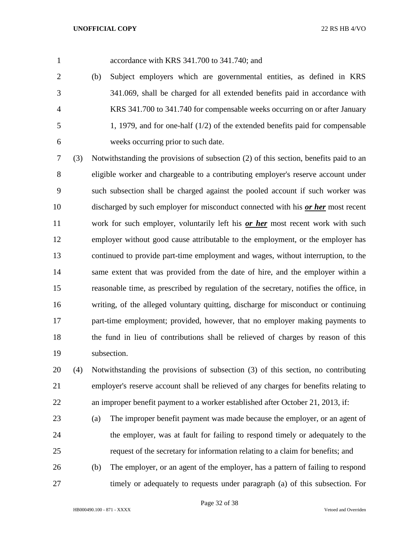accordance with KRS 341.700 to 341.740; and

- (b) Subject employers which are governmental entities, as defined in KRS 341.069, shall be charged for all extended benefits paid in accordance with KRS 341.700 to 341.740 for compensable weeks occurring on or after January 1, 1979, and for one-half (1/2) of the extended benefits paid for compensable weeks occurring prior to such date.
- (3) Notwithstanding the provisions of subsection (2) of this section, benefits paid to an eligible worker and chargeable to a contributing employer's reserve account under such subsection shall be charged against the pooled account if such worker was discharged by such employer for misconduct connected with his *or her* most recent work for such employer, voluntarily left his *or her* most recent work with such 12 employer without good cause attributable to the employment, or the employer has continued to provide part-time employment and wages, without interruption, to the same extent that was provided from the date of hire, and the employer within a reasonable time, as prescribed by regulation of the secretary, notifies the office, in writing, of the alleged voluntary quitting, discharge for misconduct or continuing part-time employment; provided, however, that no employer making payments to the fund in lieu of contributions shall be relieved of charges by reason of this subsection.

 (4) Notwithstanding the provisions of subsection (3) of this section, no contributing employer's reserve account shall be relieved of any charges for benefits relating to an improper benefit payment to a worker established after October 21, 2013, if:

- (a) The improper benefit payment was made because the employer, or an agent of the employer, was at fault for failing to respond timely or adequately to the request of the secretary for information relating to a claim for benefits; and
- (b) The employer, or an agent of the employer, has a pattern of failing to respond timely or adequately to requests under paragraph (a) of this subsection. For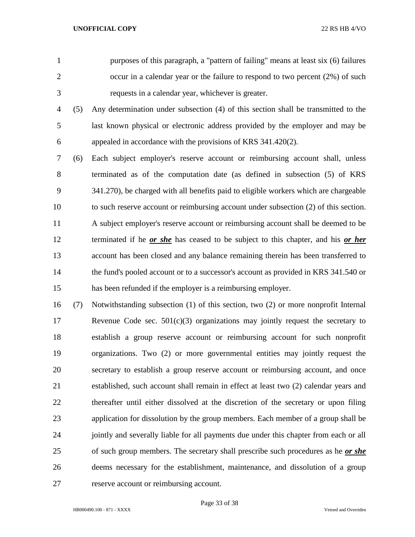purposes of this paragraph, a "pattern of failing" means at least six (6) failures 2 occur in a calendar year or the failure to respond to two percent (2%) of such requests in a calendar year, whichever is greater.

 (5) Any determination under subsection (4) of this section shall be transmitted to the last known physical or electronic address provided by the employer and may be appealed in accordance with the provisions of KRS 341.420(2).

 (6) Each subject employer's reserve account or reimbursing account shall, unless terminated as of the computation date (as defined in subsection (5) of KRS 341.270), be charged with all benefits paid to eligible workers which are chargeable to such reserve account or reimbursing account under subsection (2) of this section. A subject employer's reserve account or reimbursing account shall be deemed to be terminated if he *or she* has ceased to be subject to this chapter, and his *or her* account has been closed and any balance remaining therein has been transferred to 14 the fund's pooled account or to a successor's account as provided in KRS 341.540 or has been refunded if the employer is a reimbursing employer.

 (7) Notwithstanding subsection (1) of this section, two (2) or more nonprofit Internal Revenue Code sec. 501(c)(3) organizations may jointly request the secretary to establish a group reserve account or reimbursing account for such nonprofit organizations. Two (2) or more governmental entities may jointly request the secretary to establish a group reserve account or reimbursing account, and once established, such account shall remain in effect at least two (2) calendar years and thereafter until either dissolved at the discretion of the secretary or upon filing application for dissolution by the group members. Each member of a group shall be 24 jointly and severally liable for all payments due under this chapter from each or all of such group members. The secretary shall prescribe such procedures as he *or she*  deems necessary for the establishment, maintenance, and dissolution of a group reserve account or reimbursing account.

Page 33 of 38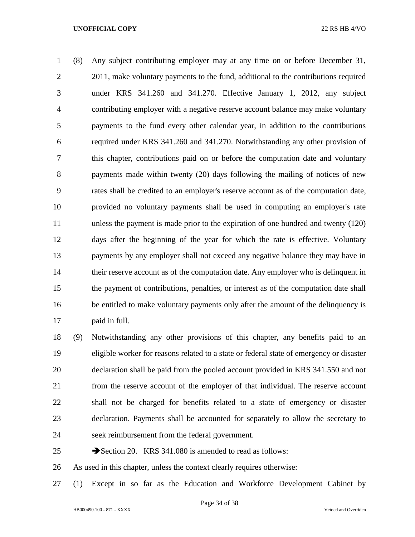(8) Any subject contributing employer may at any time on or before December 31, 2 2011, make voluntary payments to the fund, additional to the contributions required under KRS 341.260 and 341.270. Effective January 1, 2012, any subject contributing employer with a negative reserve account balance may make voluntary payments to the fund every other calendar year, in addition to the contributions required under KRS 341.260 and 341.270. Notwithstanding any other provision of this chapter, contributions paid on or before the computation date and voluntary payments made within twenty (20) days following the mailing of notices of new rates shall be credited to an employer's reserve account as of the computation date, provided no voluntary payments shall be used in computing an employer's rate unless the payment is made prior to the expiration of one hundred and twenty (120) days after the beginning of the year for which the rate is effective. Voluntary payments by any employer shall not exceed any negative balance they may have in 14 their reserve account as of the computation date. Any employer who is delinquent in the payment of contributions, penalties, or interest as of the computation date shall be entitled to make voluntary payments only after the amount of the delinquency is paid in full.

 (9) Notwithstanding any other provisions of this chapter, any benefits paid to an eligible worker for reasons related to a state or federal state of emergency or disaster declaration shall be paid from the pooled account provided in KRS 341.550 and not from the reserve account of the employer of that individual. The reserve account shall not be charged for benefits related to a state of emergency or disaster declaration. Payments shall be accounted for separately to allow the secretary to seek reimbursement from the federal government.

25 Section 20. KRS 341.080 is amended to read as follows:

As used in this chapter, unless the context clearly requires otherwise:

(1) Except in so far as the Education and Workforce Development Cabinet by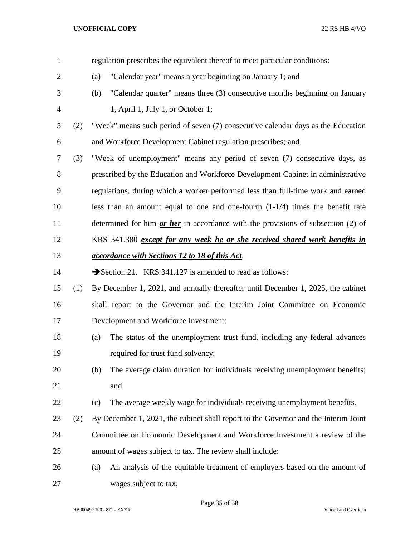| $\mathbf{1}$   |     |     | regulation prescribes the equivalent thereof to meet particular conditions:         |
|----------------|-----|-----|-------------------------------------------------------------------------------------|
| $\overline{2}$ |     | (a) | "Calendar year" means a year beginning on January 1; and                            |
| 3              |     | (b) | "Calendar quarter" means three (3) consecutive months beginning on January          |
| $\overline{4}$ |     |     | 1, April 1, July 1, or October 1;                                                   |
| 5              | (2) |     | "Week" means such period of seven (7) consecutive calendar days as the Education    |
| 6              |     |     | and Workforce Development Cabinet regulation prescribes; and                        |
| 7              | (3) |     | "Week of unemployment" means any period of seven (7) consecutive days, as           |
| 8              |     |     | prescribed by the Education and Workforce Development Cabinet in administrative     |
| 9              |     |     | regulations, during which a worker performed less than full-time work and earned    |
| 10             |     |     | less than an amount equal to one and one-fourth $(1-1/4)$ times the benefit rate    |
| 11             |     |     | determined for him $or$ her in accordance with the provisions of subsection (2) of  |
| 12             |     |     | KRS 341.380 except for any week he or she received shared work benefits in          |
| 13             |     |     | accordance with Sections 12 to 18 of this Act.                                      |
| 14             |     |     | Section 21. KRS 341.127 is amended to read as follows:                              |
| 15             | (1) |     | By December 1, 2021, and annually thereafter until December 1, 2025, the cabinet    |
| 16             |     |     | shall report to the Governor and the Interim Joint Committee on Economic            |
| 17             |     |     | Development and Workforce Investment:                                               |
| 18             |     | (a) | The status of the unemployment trust fund, including any federal advances           |
| 19             |     |     | required for trust fund solvency;                                                   |
| 20             |     | (b) | The average claim duration for individuals receiving unemployment benefits;         |
| 21             |     |     | and                                                                                 |
| 22             |     | (c) | The average weekly wage for individuals receiving unemployment benefits.            |
| 23             | (2) |     | By December 1, 2021, the cabinet shall report to the Governor and the Interim Joint |
| 24             |     |     | Committee on Economic Development and Workforce Investment a review of the          |
| 25             |     |     | amount of wages subject to tax. The review shall include:                           |
| 26             |     | (a) | An analysis of the equitable treatment of employers based on the amount of          |
| 27             |     |     | wages subject to tax;                                                               |

Page 35 of 38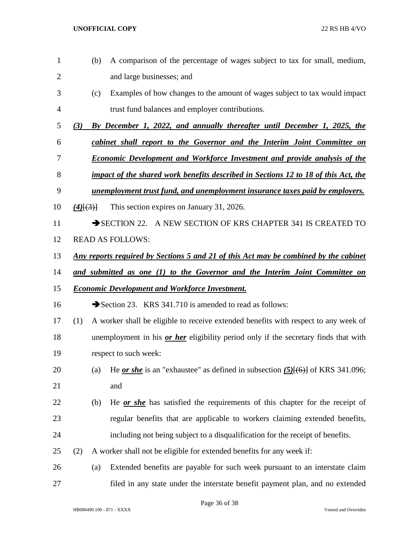(b) A comparison of the percentage of wages subject to tax for small, medium, and large businesses; and (c) Examples of how changes to the amount of wages subject to tax would impact trust fund balances and employer contributions. *(3) By December 1, 2022, and annually thereafter until December 1, 2025, the cabinet shall report to the Governor and the Interim Joint Committee on Economic Development and Workforce Investment and provide analysis of the impact of the shared work benefits described in Sections 12 to 18 of this Act, the unemployment trust fund, and unemployment insurance taxes paid by employers. (4)*[(3)] This section expires on January 31, 2026. 11 SECTION 22. A NEW SECTION OF KRS CHAPTER 341 IS CREATED TO READ AS FOLLOWS: *Any reports required by Sections 5 and 21 of this Act may be combined by the cabinet and submitted as one (1) to the Governor and the Interim Joint Committee on Economic Development and Workforce Investment.* 16 Section 23. KRS 341.710 is amended to read as follows: (1) A worker shall be eligible to receive extended benefits with respect to any week of unemployment in his *or her* eligibility period only if the secretary finds that with respect to such week: (a) He *or she* is an "exhaustee" as defined in subsection *(5)*[(6)] of KRS 341.096; and (b) He *or she* has satisfied the requirements of this chapter for the receipt of regular benefits that are applicable to workers claiming extended benefits, including not being subject to a disqualification for the receipt of benefits. (2) A worker shall not be eligible for extended benefits for any week if: (a) Extended benefits are payable for such week pursuant to an interstate claim filed in any state under the interstate benefit payment plan, and no extended

Page 36 of 38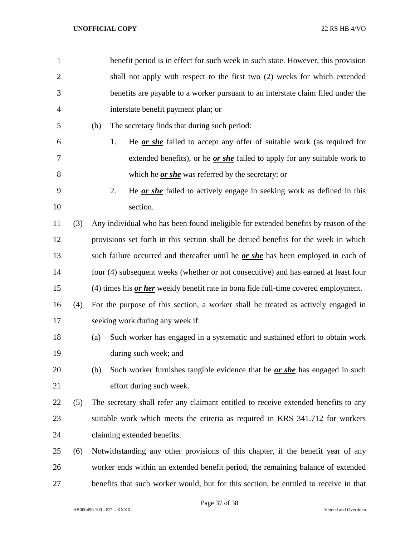| $\mathbf{1}$   |     | benefit period is in effect for such week in such state. However, this provision         |
|----------------|-----|------------------------------------------------------------------------------------------|
| $\overline{2}$ |     | shall not apply with respect to the first two (2) weeks for which extended               |
| 3              |     | benefits are payable to a worker pursuant to an interstate claim filed under the         |
| 4              |     | interstate benefit payment plan; or                                                      |
| 5              |     | (b)<br>The secretary finds that during such period:                                      |
| 6              |     | He <u>or she</u> failed to accept any offer of suitable work (as required for<br>1.      |
| 7              |     | extended benefits), or he <u>or she</u> failed to apply for any suitable work to         |
| 8              |     | which he <i>or she</i> was referred by the secretary; or                                 |
| 9              |     | He <b>or she</b> failed to actively engage in seeking work as defined in this<br>2.      |
| 10             |     | section.                                                                                 |
| 11             | (3) | Any individual who has been found ineligible for extended benefits by reason of the      |
| 12             |     | provisions set forth in this section shall be denied benefits for the week in which      |
| 13             |     | such failure occurred and thereafter until he <i>or she</i> has been employed in each of |
| 14             |     | four (4) subsequent weeks (whether or not consecutive) and has earned at least four      |
| 15             |     | (4) times his or her weekly benefit rate in bona fide full-time covered employment.      |
| 16             | (4) | For the purpose of this section, a worker shall be treated as actively engaged in        |
| 17             |     | seeking work during any week if:                                                         |
| 18             |     | Such worker has engaged in a systematic and sustained effort to obtain work<br>(a)       |
| 19             |     | during such week; and                                                                    |
| 20             |     | Such worker furnishes tangible evidence that he <u>or she</u> has engaged in such<br>(b) |
| 21             |     | effort during such week.                                                                 |
| 22             | (5) | The secretary shall refer any claimant entitled to receive extended benefits to any      |
| 23             |     | suitable work which meets the criteria as required in KRS 341.712 for workers            |
| 24             |     | claiming extended benefits.                                                              |
| 25             | (6) | Notwithstanding any other provisions of this chapter, if the benefit year of any         |
| 26             |     | worker ends within an extended benefit period, the remaining balance of extended         |
| 27             |     | benefits that such worker would, but for this section, be entitled to receive in that    |

Page 37 of 38